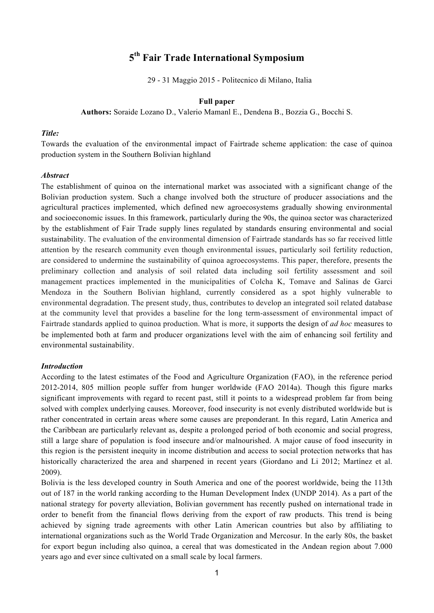# **5th Fair Trade International Symposium**

29 - 31 Maggio 2015 - Politecnico di Milano, Italia

# **Full paper**

**Authors:** Soraide Lozano D., Valerio Mamanl E., Dendena B., Bozzia G., Bocchi S.

## *Title:*

Towards the evaluation of the environmental impact of Fairtrade scheme application: the case of quinoa production system in the Southern Bolivian highland

#### *Abstract*

The establishment of quinoa on the international market was associated with a significant change of the Bolivian production system. Such a change involved both the structure of producer associations and the agricultural practices implemented, which defined new agroecosystems gradually showing environmental and socioeconomic issues. In this framework, particularly during the 90s, the quinoa sector was characterized by the establishment of Fair Trade supply lines regulated by standards ensuring environmental and social sustainability. The evaluation of the environmental dimension of Fairtrade standards has so far received little attention by the research community even though environmental issues, particularly soil fertility reduction, are considered to undermine the sustainability of quinoa agroecosystems. This paper, therefore, presents the preliminary collection and analysis of soil related data including soil fertility assessment and soil management practices implemented in the municipalities of Colcha K, Tomave and Salinas de Garci Mendoza in the Southern Bolivian highland, currently considered as a spot highly vulnerable to environmental degradation. The present study, thus, contributes to develop an integrated soil related database at the community level that provides a baseline for the long term-assessment of environmental impact of Fairtrade standards applied to quinoa production. What is more, it supports the design of *ad hoc* measures to be implemented both at farm and producer organizations level with the aim of enhancing soil fertility and environmental sustainability.

#### *Introduction*

According to the latest estimates of the Food and Agriculture Organization (FAO), in the reference period 2012-2014, 805 million people suffer from hunger worldwide (FAO 2014a). Though this figure marks significant improvements with regard to recent past, still it points to a widespread problem far from being solved with complex underlying causes. Moreover, food insecurity is not evenly distributed worldwide but is rather concentrated in certain areas where some causes are preponderant. In this regard, Latin America and the Caribbean are particularly relevant as, despite a prolonged period of both economic and social progress, still a large share of population is food insecure and/or malnourished. A major cause of food insecurity in this region is the persistent inequity in income distribution and access to social protection networks that has historically characterized the area and sharpened in recent years (Giordano and Li 2012; Martínez et al. 2009).

Bolivia is the less developed country in South America and one of the poorest worldwide, being the 113th out of 187 in the world ranking according to the Human Development Index (UNDP 2014). As a part of the national strategy for poverty alleviation, Bolivian government has recently pushed on international trade in order to benefit from the financial flows deriving from the export of raw products. This trend is being achieved by signing trade agreements with other Latin American countries but also by affiliating to international organizations such as the World Trade Organization and Mercosur. In the early 80s, the basket for export begun including also quinoa, a cereal that was domesticated in the Andean region about 7.000 years ago and ever since cultivated on a small scale by local farmers.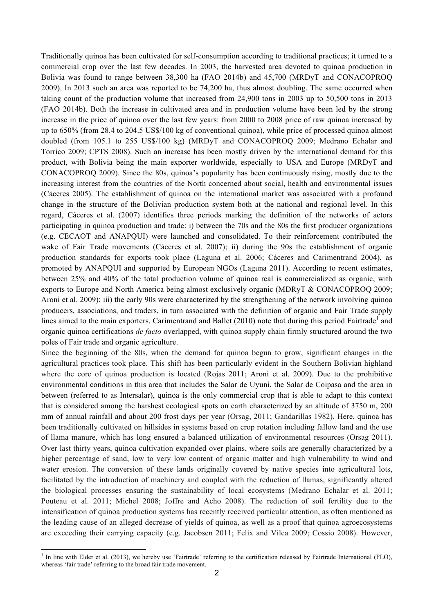Traditionally quinoa has been cultivated for self-consumption according to traditional practices; it turned to a commercial crop over the last few decades. In 2003, the harvested area devoted to quinoa production in Bolivia was found to range between 38,300 ha (FAO 2014b) and 45,700 (MRDyT and CONACOPROQ 2009). In 2013 such an area was reported to be 74,200 ha, thus almost doubling. The same occurred when taking count of the production volume that increased from 24,900 tons in 2003 up to 50,500 tons in 2013 (FAO 2014b). Both the increase in cultivated area and in production volume have been led by the strong increase in the price of quinoa over the last few years: from 2000 to 2008 price of raw quinoa increased by up to 650% (from 28.4 to 204.5 US\$/100 kg of conventional quinoa), while price of processed quinoa almost doubled (from 105.1 to 255 US\$/100 kg) (MRDyT and CONACOPROQ 2009; Medrano Echalar and Torrico 2009; CPTS 2008). Such an increase has been mostly driven by the international demand for this product, with Bolivia being the main exporter worldwide, especially to USA and Europe (MRDyT and CONACOPROQ 2009). Since the 80s, quinoa's popularity has been continuously rising, mostly due to the increasing interest from the countries of the North concerned about social, health and environmental issues (Cáceres 2005). The establishment of quinoa on the international market was associated with a profound change in the structure of the Bolivian production system both at the national and regional level. In this regard, Cáceres et al. (2007) identifies three periods marking the definition of the networks of actors participating in quinoa production and trade: i) between the 70s and the 80s the first producer organizations (e.g. CECAOT and ANAPQUI) were launched and consolidated. To their reinforcement contributed the wake of Fair Trade movements (Cáceres et al. 2007); ii) during the 90s the establishment of organic production standards for exports took place (Laguna et al. 2006; Cáceres and Carimentrand 2004), as promoted by ANAPQUI and supported by European NGOs (Laguna 2011). According to recent estimates, between 25% and 40% of the total production volume of quinoa real is commercialized as organic, with exports to Europe and North America being almost exclusively organic (MDRyT & CONACOPROQ 2009; Aroni et al. 2009); iii) the early 90s were characterized by the strengthening of the network involving quinoa producers, associations, and traders, in turn associated with the definition of organic and Fair Trade supply lines aimed to the main exporters. Carimentrand and Ballet (2010) note that during this period Fairtrade<sup>1</sup> and organic quinoa certifications *de facto* overlapped, with quinoa supply chain firmly structured around the two poles of Fair trade and organic agriculture.

Since the beginning of the 80s, when the demand for quinoa begun to grow, significant changes in the agricultural practices took place. This shift has been particularly evident in the Southern Bolivian highland where the core of quinoa production is located (Rojas 2011; Aroni et al. 2009). Due to the prohibitive environmental conditions in this area that includes the Salar de Uyuni, the Salar de Coipasa and the area in between (referred to as Intersalar), quinoa is the only commercial crop that is able to adapt to this context that is considered among the harshest ecological spots on earth characterized by an altitude of 3750 m, 200 mm of annual rainfall and about 200 frost days per year (Orsag, 2011; Gandarillas 1982). Here, quinoa has been traditionally cultivated on hillsides in systems based on crop rotation including fallow land and the use of llama manure, which has long ensured a balanced utilization of environmental resources (Orsag 2011). Over last thirty years, quinoa cultivation expanded over plains, where soils are generally characterized by a higher percentage of sand, low to very low content of organic matter and high vulnerability to wind and water erosion. The conversion of these lands originally covered by native species into agricultural lots, facilitated by the introduction of machinery and coupled with the reduction of llamas, significantly altered the biological processes ensuring the sustainability of local ecosystems (Medrano Echalar et al. 2011; Pouteau et al. 2011; Michel 2008; Joffre and Acho 2008). The reduction of soil fertility due to the intensification of quinoa production systems has recently received particular attention, as often mentioned as the leading cause of an alleged decrease of yields of quinoa, as well as a proof that quinoa agroecosystems are exceeding their carrying capacity (e.g. Jacobsen 2011; Felix and Vilca 2009; Cossio 2008). However,

!!!!!!!!!!!!!!!!!!!!!!!!!!!!!!!!!!!!!!!!!!!!!!!!!!!!!!!!!!!!

<sup>&</sup>lt;sup>1</sup> In line with Elder et al. (2013), we hereby use 'Fairtrade' referring to the certification released by Fairtrade International (FLO), whereas 'fair trade' referring to the broad fair trade movement.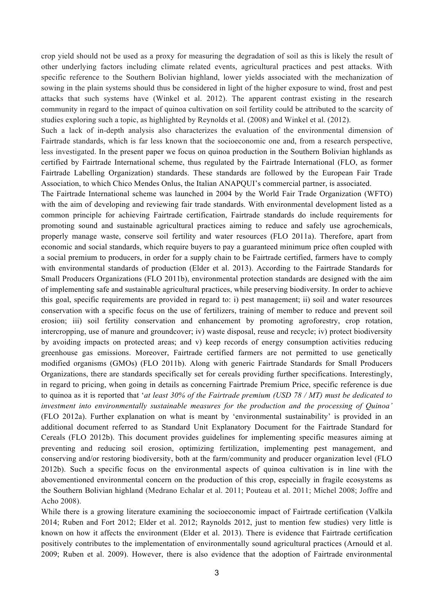crop yield should not be used as a proxy for measuring the degradation of soil as this is likely the result of other underlying factors including climate related events, agricultural practices and pest attacks. With specific reference to the Southern Bolivian highland, lower yields associated with the mechanization of sowing in the plain systems should thus be considered in light of the higher exposure to wind, frost and pest attacks that such systems have (Winkel et al. 2012). The apparent contrast existing in the research community in regard to the impact of quinoa cultivation on soil fertility could be attributed to the scarcity of studies exploring such a topic, as highlighted by Reynolds et al. (2008) and Winkel et al. (2012).

Such a lack of in-depth analysis also characterizes the evaluation of the environmental dimension of Fairtrade standards, which is far less known that the socioeconomic one and, from a research perspective, less investigated. In the present paper we focus on quinoa production in the Southern Bolivian highlands as certified by Fairtrade International scheme, thus regulated by the Fairtrade International (FLO, as former Fairtrade Labelling Organization) standards. These standards are followed by the European Fair Trade Association, to which Chico Mendes Onlus, the Italian ANAPQUI's commercial partner, is associated.

The Fairtrade International scheme was launched in 2004 by the World Fair Trade Organization (WFTO) with the aim of developing and reviewing fair trade standards. With environmental development listed as a common principle for achieving Fairtrade certification, Fairtrade standards do include requirements for promoting sound and sustainable agricultural practices aiming to reduce and safely use agrochemicals, properly manage waste, conserve soil fertility and water resources (FLO 2011a). Therefore, apart from economic and social standards, which require buyers to pay a guaranteed minimum price often coupled with a social premium to producers, in order for a supply chain to be Fairtrade certified, farmers have to comply with environmental standards of production (Elder et al. 2013). According to the Fairtrade Standards for Small Producers Organizations (FLO 2011b), environmental protection standards are designed with the aim of implementing safe and sustainable agricultural practices, while preserving biodiversity. In order to achieve this goal, specific requirements are provided in regard to: i) pest management; ii) soil and water resources conservation with a specific focus on the use of fertilizers, training of member to reduce and prevent soil erosion; iii) soil fertility conservation and enhancement by promoting agroforestry, crop rotation, intercropping, use of manure and groundcover; iv) waste disposal, reuse and recycle; iv) protect biodiversity by avoiding impacts on protected areas; and v) keep records of energy consumption activities reducing greenhouse gas emissions. Moreover, Fairtrade certified farmers are not permitted to use genetically modified organisms (GMOs) (FLO 2011b). Along with generic Fairtrade Standards for Small Producers Organizations, there are standards specifically set for cereals providing further specifications. Interestingly, in regard to pricing, when going in details as concerning Fairtrade Premium Price, specific reference is due to quinoa as it is reported that '*at least 30% of the Fairtrade premium (USD 78 / MT) must be dedicated to investment into environmentally sustainable measures for the production and the processing of Quinoa'*  (FLO 2012a). Further explanation on what is meant by 'environmental sustainability' is provided in an additional document referred to as Standard Unit Explanatory Document for the Fairtrade Standard for Cereals (FLO 2012b). This document provides guidelines for implementing specific measures aiming at preventing and reducing soil erosion, optimizing fertilization, implementing pest management, and conserving and/or restoring biodiversity, both at the farm/community and producer organization level (FLO 2012b). Such a specific focus on the environmental aspects of quinoa cultivation is in line with the abovementioned environmental concern on the production of this crop, especially in fragile ecosystems as the Southern Bolivian highland (Medrano Echalar et al. 2011; Pouteau et al. 2011; Michel 2008; Joffre and Acho 2008).

While there is a growing literature examining the socioeconomic impact of Fairtrade certification (Valkila 2014; Ruben and Fort 2012; Elder et al. 2012; Raynolds 2012, just to mention few studies) very little is known on how it affects the environment (Elder et al. 2013). There is evidence that Fairtrade certification positively contributes to the implementation of environmentally sound agricultural practices (Arnould et al. 2009; Ruben et al. 2009). However, there is also evidence that the adoption of Fairtrade environmental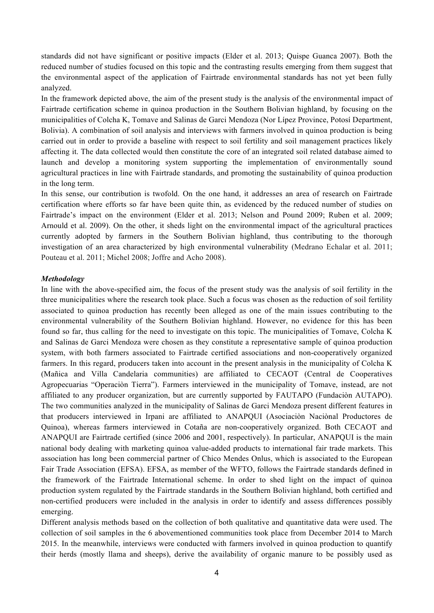standards did not have significant or positive impacts (Elder et al. 2013; Quispe Guanca 2007). Both the reduced number of studies focused on this topic and the contrasting results emerging from them suggest that the environmental aspect of the application of Fairtrade environmental standards has not yet been fully analyzed.

In the framework depicted above, the aim of the present study is the analysis of the environmental impact of Fairtrade certification scheme in quinoa production in the Southern Bolivian highland, by focusing on the municipalities of Colcha K, Tomave and Salinas de Garci Mendoza (Nor Lípez Province, Potosí Department, Bolivia). A combination of soil analysis and interviews with farmers involved in quinoa production is being carried out in order to provide a baseline with respect to soil fertility and soil management practices likely affecting it. The data collected would then constitute the core of an integrated soil related database aimed to launch and develop a monitoring system supporting the implementation of environmentally sound agricultural practices in line with Fairtrade standards, and promoting the sustainability of quinoa production in the long term.

In this sense, our contribution is twofold. On the one hand, it addresses an area of research on Fairtrade certification where efforts so far have been quite thin, as evidenced by the reduced number of studies on Fairtrade's impact on the environment (Elder et al. 2013; Nelson and Pound 2009; Ruben et al. 2009; Arnould et al. 2009). On the other, it sheds light on the environmental impact of the agricultural practices currently adopted by farmers in the Southern Bolivian highland, thus contributing to the thorough investigation of an area characterized by high environmental vulnerability (Medrano Echalar et al. 2011; Pouteau et al. 2011; Michel 2008; Joffre and Acho 2008).

## *Methodology*

In line with the above-specified aim, the focus of the present study was the analysis of soil fertility in the three municipalities where the research took place. Such a focus was chosen as the reduction of soil fertility associated to quinoa production has recently been alleged as one of the main issues contributing to the environmental vulnerability of the Southern Bolivian highland. However, no evidence for this has been found so far, thus calling for the need to investigate on this topic. The municipalities of Tomave, Colcha K and Salinas de Garci Mendoza were chosen as they constitute a representative sample of quinoa production system, with both farmers associated to Fairtrade certified associations and non-cooperatively organized farmers. In this regard, producers taken into account in the present analysis in the municipality of Colcha K (Mañica and Villa Candelaria communities) are affiliated to CECAOT (Central de Cooperatives Agropecuarias "Operaciòn Tierra"). Farmers interviewed in the municipality of Tomave, instead, are not affiliated to any producer organization, but are currently supported by FAUTAPO (Fundaciòn AUTAPO). The two communities analyzed in the municipality of Salinas de Garci Mendoza present different features in that producers interviewed in Irpani are affiliated to ANAPQUI (Asociaciòn Naciònal Productores de Quinoa), whereas farmers interviewed in Cotaña are non-cooperatively organized. Both CECAOT and ANAPQUI are Fairtrade certified (since 2006 and 2001, respectively). In particular, ANAPQUI is the main national body dealing with marketing quinoa value-added products to international fair trade markets. This association has long been commercial partner of Chico Mendes Onlus, which is associated to the European Fair Trade Association (EFSA). EFSA, as member of the WFTO, follows the Fairtrade standards defined in the framework of the Fairtrade International scheme. In order to shed light on the impact of quinoa production system regulated by the Fairtrade standards in the Southern Bolivian highland, both certified and non-certified producers were included in the analysis in order to identify and assess differences possibly emerging.

Different analysis methods based on the collection of both qualitative and quantitative data were used. The collection of soil samples in the 6 abovementioned communities took place from December 2014 to March 2015. In the meanwhile, interviews were conducted with farmers involved in quinoa production to quantify their herds (mostly llama and sheeps), derive the availability of organic manure to be possibly used as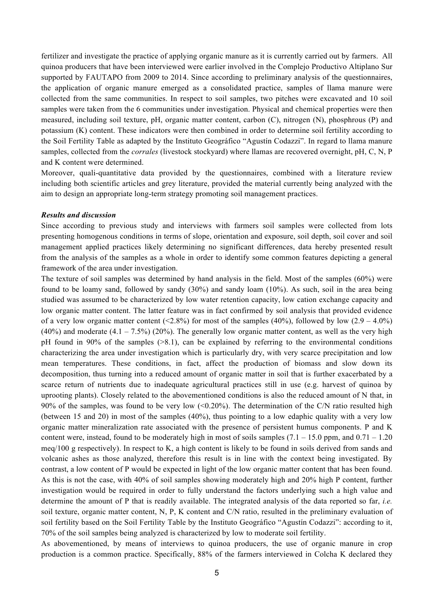fertilizer and investigate the practice of applying organic manure as it is currently carried out by farmers. All quinoa producers that have been interviewed were earlier involved in the Complejo Productivo Altiplano Sur supported by FAUTAPO from 2009 to 2014. Since according to preliminary analysis of the questionnaires, the application of organic manure emerged as a consolidated practice, samples of llama manure were collected from the same communities. In respect to soil samples, two pitches were excavated and 10 soil samples were taken from the 6 communities under investigation. Physical and chemical properties were then measured, including soil texture, pH, organic matter content, carbon (C), nitrogen (N), phosphrous (P) and potassium (K) content. These indicators were then combined in order to determine soil fertility according to the Soil Fertility Table as adapted by the Instituto Geográfico "Agustín Codazzi". In regard to llama manure samples, collected from the *corrales* (livestock stockyard) where llamas are recovered overnight, pH, C, N, P and K content were determined.

Moreover, quali-quantitative data provided by the questionnaires, combined with a literature review including both scientific articles and grey literature, provided the material currently being analyzed with the aim to design an appropriate long-term strategy promoting soil management practices.

#### *Results and discussion*

Since according to previous study and interviews with farmers soil samples were collected from lots presenting homogenous conditions in terms of slope, orientation and exposure, soil depth, soil cover and soil management applied practices likely determining no significant differences, data hereby presented result from the analysis of the samples as a whole in order to identify some common features depicting a general framework of the area under investigation.

The texture of soil samples was determined by hand analysis in the field. Most of the samples (60%) were found to be loamy sand, followed by sandy (30%) and sandy loam (10%). As such, soil in the area being studied was assumed to be characterized by low water retention capacity, low cation exchange capacity and low organic matter content. The latter feature was in fact confirmed by soil analysis that provided evidence of a very low organic matter content (<2.8%) for most of the samples (40%), followed by low (2.9 – 4.0%) (40%) and moderate  $(4.1 - 7.5\%)$  (20%). The generally low organic matter content, as well as the very high pH found in 90% of the samples  $(8.1)$ , can be explained by referring to the environmental conditions characterizing the area under investigation which is particularly dry, with very scarce precipitation and low mean temperatures. These conditions, in fact, affect the production of biomass and slow down its decomposition, thus turning into a reduced amount of organic matter in soil that is further exacerbated by a scarce return of nutrients due to inadequate agricultural practices still in use (e.g. harvest of quinoa by uprooting plants). Closely related to the abovementioned conditions is also the reduced amount of N that, in 90% of the samples, was found to be very low  $\langle 0.20\% \rangle$ . The determination of the C/N ratio resulted high (between 15 and 20) in most of the samples (40%), thus pointing to a low edaphic quality with a very low organic matter mineralization rate associated with the presence of persistent humus components. P and K content were, instead, found to be moderately high in most of soils samples  $(7.1 - 15.0$  ppm, and  $0.71 - 1.20$ meq/100 g respectively). In respect to K, a high content is likely to be found in soils derived from sands and volcanic ashes as those analyzed, therefore this result is in line with the context being investigated. By contrast, a low content of P would be expected in light of the low organic matter content that has been found. As this is not the case, with 40% of soil samples showing moderately high and 20% high P content, further investigation would be required in order to fully understand the factors underlying such a high value and determine the amount of P that is readily available. The integrated analysis of the data reported so far, *i.e.* soil texture, organic matter content, N, P, K content and C/N ratio, resulted in the preliminary evaluation of soil fertility based on the Soil Fertility Table by the Instituto Geográfico "Agustín Codazzi": according to it, 70% of the soil samples being analyzed is characterized by low to moderate soil fertility.

As abovementioned, by means of interviews to quinoa producers, the use of organic manure in crop production is a common practice. Specifically, 88% of the farmers interviewed in Colcha K declared they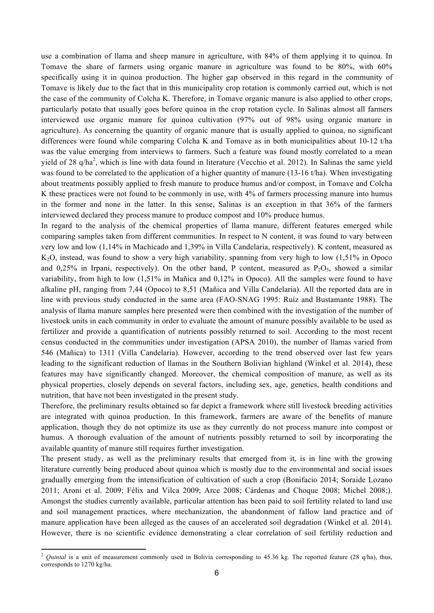use a combination of llama and sheep manure in agriculture, with 84% of them applying it to quinoa. In Tomave the share of farmers using organic manure in agriculture was found to be 80%, with 60% specifically using it in quinoa production. The higher gap observed in this regard in the community of Tomave is likely due to the fact that in this municipality crop rotation is commonly carried out, which is not the case of the community of Colcha K. Therefore, in Tomave organic manure is also applied to other crops, particularly potato that usually goes before quinoa in the crop rotation cycle. In Salinas almost all farmers interviewed use organic manure for quinoa cultivation (97% out of 98% using organic manure in agriculture). As concerning the quantity of organic manure that is usually applied to quinoa, no significant differences were found while comparing Colcha K and Tomave as in both municipalities about 10-12 t/ha was the value emerging from interviews to farmers. Such a feature was found mostly correlated to a mean yield of 28 q/ha<sup>2</sup>, which is line with data found in literature (Vecchio et al. 2012). In Salinas the same yield was found to be correlated to the application of a higher quantity of manure (13-16 t/ha). When investigating about treatments possibly applied to fresh manure to produce humus and/or compost, in Tomave and Colcha K these practices were not found to be commonly in use, with 4% of farmers processing manure into humus in the former and none in the latter. In this sense, Salinas is an exception in that 36% of the farmers interviewed declared they process manure to produce compost and 10% produce humus.

In regard to the analysis of the chemical properties of llama manure, different features emerged while comparing samples taken from different communities. In respect to N content, it was found to vary between very low and low (1,14% in Machicado and 1,39% in Villa Candelaria, respectively). K content, measured as K2O, instead, was found to show a very high variability, spanning from very high to low (1,51% in Opoco and 0,25% in Irpani, respectively). On the other hand, P content, measured as  $P_2O_5$ , showed a similar variability, from high to low (1,51% in Mañica and 0,12% in Opoco). All the samples were found to have alkaline pH, ranging from 7,44 (Opoco) to 8,51 (Mañica and Villa Candelaria). All the reported data are in line with previous study conducted in the same area (FAO-SNAG 1995: Ruíz and Bustamante 1988). The analysis of llama manure samples here presented were then combined with the investigation of the number of livestock units in each community in order to evaluate the amount of manure possibly available to be used as fertilizer and provide a quantification of nutrients possibly returned to soil. According to the most recent census conducted in the communities under investigation (APSA 2010), the number of llamas varied from 546 (Mañica) to 1311 (Villa Candelaria). However, according to the trend observed over last few years leading to the significant reduction of llamas in the Southern Bolivian highland (Winkel et al. 2014), these features may have significantly changed. Moreover, the chemical composition of manure, as well as its physical properties, closely depends on several factors, including sex, age, genetics, health conditions and nutrition, that have not been investigated in the present study.

Therefore, the preliminary results obtained so far depict a framework where still livestock breeding activities are integrated with quinoa production. In this framework, farmers are aware of the benefits of manure application, though they do not optimize its use as they currently do not process manure into compost or humus. A thorough evaluation of the amount of nutrients possibly returned to soil by incorporating the available quantity of manure still requires further investigation.

The present study, as well as the preliminary results that emerged from it, is in line with the growing literature currently being produced about quinoa which is mostly due to the environmental and social issues gradually emerging from the intensification of cultivation of such a crop (Bonifacio 2014; Soraide Lozano 2011; Aroni et al. 2009; Félix and Vilca 2009; Arce 2008; Cárdenas and Choque 2008; Michel 2008;). Amongst the studies currently available, particular attention has been paid to soil fertility related to land use and soil management practices, where mechanization, the abandonment of fallow land practice and of manure application have been alleged as the causes of an accelerated soil degradation (Winkel et al. 2014). However, there is no scientific evidence demonstrating a clear correlation of soil fertility reduction and

!!!!!!!!!!!!!!!!!!!!!!!!!!!!!!!!!!!!!!!!!!!!!!!!!!!!!!!!!!!!

<sup>&</sup>lt;sup>2</sup> *Quintal* is a unit of measurement commonly used in Bolivia corresponding to 45.36 kg. The reported feature (28 q/ha), thus, corresponds to 1270 kg/ha.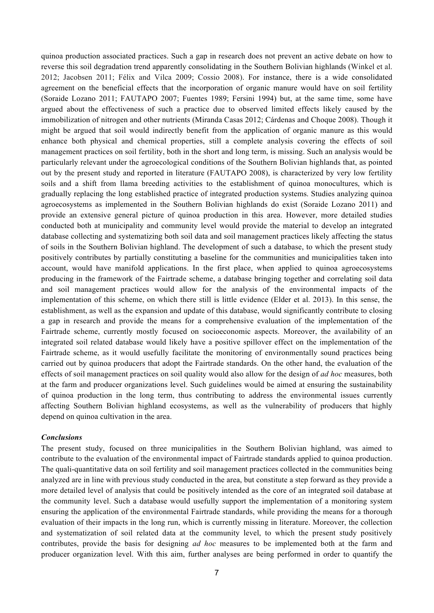quinoa production associated practices. Such a gap in research does not prevent an active debate on how to reverse this soil degradation trend apparently consolidating in the Southern Bolivian highlands (Winkel et al. 2012; Jacobsen 2011; Félix and Vilca 2009; Cossio 2008). For instance, there is a wide consolidated agreement on the beneficial effects that the incorporation of organic manure would have on soil fertility (Soraide Lozano 2011; FAUTAPO 2007; Fuentes 1989; Fersini 1994) but, at the same time, some have argued about the effectiveness of such a practice due to observed limited effects likely caused by the immobilization of nitrogen and other nutrients (Miranda Casas 2012; Cárdenas and Choque 2008). Though it might be argued that soil would indirectly benefit from the application of organic manure as this would enhance both physical and chemical properties, still a complete analysis covering the effects of soil management practices on soil fertility, both in the short and long term, is missing. Such an analysis would be particularly relevant under the agroecological conditions of the Southern Bolivian highlands that, as pointed out by the present study and reported in literature (FAUTAPO 2008), is characterized by very low fertility soils and a shift from llama breeding activities to the establishment of quinoa monocultures, which is gradually replacing the long established practice of integrated production systems. Studies analyzing quinoa agroecosystems as implemented in the Southern Bolivian highlands do exist (Soraide Lozano 2011) and provide an extensive general picture of quinoa production in this area. However, more detailed studies conducted both at municipality and community level would provide the material to develop an integrated database collecting and systematizing both soil data and soil management practices likely affecting the status of soils in the Southern Bolivian highland. The development of such a database, to which the present study positively contributes by partially constituting a baseline for the communities and municipalities taken into account, would have manifold applications. In the first place, when applied to quinoa agroecosystems producing in the framework of the Fairtrade scheme, a database bringing together and correlating soil data and soil management practices would allow for the analysis of the environmental impacts of the implementation of this scheme, on which there still is little evidence (Elder et al. 2013). In this sense, the establishment, as well as the expansion and update of this database, would significantly contribute to closing a gap in research and provide the means for a comprehensive evaluation of the implementation of the Fairtrade scheme, currently mostly focused on socioeconomic aspects. Moreover, the availability of an integrated soil related database would likely have a positive spillover effect on the implementation of the Fairtrade scheme, as it would usefully facilitate the monitoring of environmentally sound practices being carried out by quinoa producers that adopt the Fairtrade standards. On the other hand, the evaluation of the effects of soil management practices on soil quality would also allow for the design of *ad hoc* measures, both at the farm and producer organizations level. Such guidelines would be aimed at ensuring the sustainability of quinoa production in the long term, thus contributing to address the environmental issues currently affecting Southern Bolivian highland ecosystems, as well as the vulnerability of producers that highly depend on quinoa cultivation in the area.

### *Conclusions*

The present study, focused on three municipalities in the Southern Bolivian highland, was aimed to contribute to the evaluation of the environmental impact of Fairtrade standards applied to quinoa production. The quali-quantitative data on soil fertility and soil management practices collected in the communities being analyzed are in line with previous study conducted in the area, but constitute a step forward as they provide a more detailed level of analysis that could be positively intended as the core of an integrated soil database at the community level. Such a database would usefully support the implementation of a monitoring system ensuring the application of the environmental Fairtrade standards, while providing the means for a thorough evaluation of their impacts in the long run, which is currently missing in literature. Moreover, the collection and systematization of soil related data at the community level, to which the present study positively contributes, provide the basis for designing *ad hoc* measures to be implemented both at the farm and producer organization level. With this aim, further analyses are being performed in order to quantify the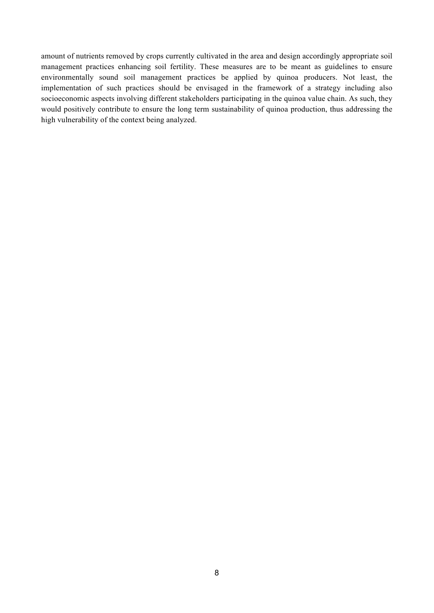amount of nutrients removed by crops currently cultivated in the area and design accordingly appropriate soil management practices enhancing soil fertility. These measures are to be meant as guidelines to ensure environmentally sound soil management practices be applied by quinoa producers. Not least, the implementation of such practices should be envisaged in the framework of a strategy including also socioeconomic aspects involving different stakeholders participating in the quinoa value chain. As such, they would positively contribute to ensure the long term sustainability of quinoa production, thus addressing the high vulnerability of the context being analyzed.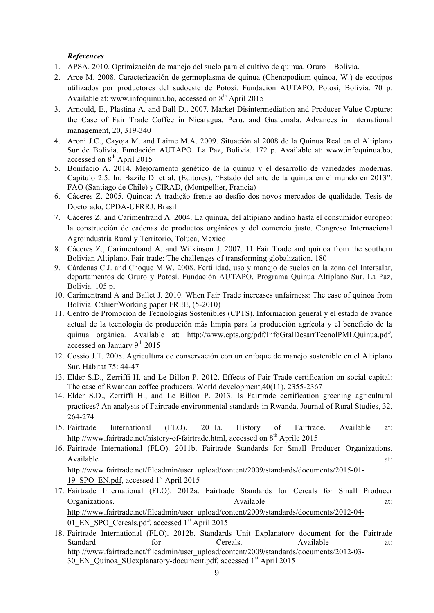# *References*

- 1. APSA. 2010. Optimización de manejo del suelo para el cultivo de quinua. Oruro Bolivia.
- 2. Arce M. 2008. Caracterización de germoplasma de quinua (Chenopodium quinoa, W.) de ecotipos utilizados por productores del sudoeste de Potosí. Fundación AUTAPO. Potosí, Bolivia. 70 p. Available at: www.infoquinua.bo, accessed on  $8<sup>th</sup>$  April 2015
- 3. Arnould, E., Plastina A. and Ball D., 2007. Market Disintermediation and Producer Value Capture: the Case of Fair Trade Coffee in Nicaragua, Peru, and Guatemala. Advances in international management, 20, 319-340
- 4. Aroni J.C., Cayoja M. and Laime M.A. 2009. Situación al 2008 de la Quinua Real en el Altiplano Sur de Bolivia. Fundación AUTAPO. La Paz, Bolivia. 172 p. Available at: www.infoquinua.bo, accessed on  $8<sup>th</sup>$  April 2015
- 5. Bonifacio A. 2014. Mejoramento genético de la quinua y el desarrollo de variedades modernas. Capitulo 2.5. In: Bazile D. et al. (Editores), "Estado del arte de la quinua en el mundo en 2013": FAO (Santiago de Chile) y CIRAD, (Montpellier, Francia)
- 6. Cáceres Z. 2005. Quinoa: A tradição frente ao desfio dos novos mercados de qualidade. Tesis de Doctorado, CPDA-UFRRJ, Brasil
- 7. Cáceres Z. and Carimentrand A. 2004. La quinua, del altipiano andino hasta el consumidor europeo: la construcción de cadenas de productos orgánicos y del comercio justo. Congreso Internacional Agroindustria Rural y Territorio, Toluca, Mexico
- 8. Cáceres Z., Carimentrand A. and Wilkinson J. 2007. 11 Fair Trade and quinoa from the southern Bolivian Altiplano. Fair trade: The challenges of transforming globalization, 180
- 9. Cárdenas C.J. and Choque M.W. 2008. Fertilidad, uso y manejo de suelos en la zona del Intersalar, departamentos de Oruro y Potosí. Fundación AUTAPO, Programa Quinua Altiplano Sur. La Paz, Bolivia. 105 p.
- 10. Carimentrand A and Ballet J. 2010. When Fair Trade increases unfairness: The case of quinoa from Bolivia. Cahier/Working paper FREE, (5-2010)
- 11. Centro de Promocion de Tecnologias Sostenibles (CPTS). Informacion general y el estado de avance actual de la tecnología de producción más limpia para la producción agrícola y el beneficio de la quinua orgánica. Available at: http://www.cpts.org/pdf/InfoGralDesarrTecnolPMLQuinua.pdf, accessed on January  $9<sup>th</sup> 2015$
- 12. Cossio J.T. 2008. Agricultura de conservación con un enfoque de manejo sostenible en el Altiplano Sur. Hábitat 75: 44-47
- 13. Elder S.D., Zerriffi H. and Le Billon P. 2012. Effects of Fair Trade certification on social capital: The case of Rwandan coffee producers. World development,40(11), 2355-2367
- 14. Elder S.D., Zerriffi H., and Le Billon P. 2013. Is Fairtrade certification greening agricultural practices? An analysis of Fairtrade environmental standards in Rwanda. Journal of Rural Studies, 32, 264-274
- 15. Fairtrade International (FLO). 2011a. History of Fairtrade. Available at: http://www.fairtrade.net/history-of-fairtrade.html, accessed on 8<sup>th</sup> Aprile 2015
- 16. Fairtrade International (FLO). 2011b. Fairtrade Standards for Small Producer Organizations. Available at:  $\alpha$ http://www.fairtrade.net/fileadmin/user\_upload/content/2009/standards/documents/2015-01-
	- 19 SPO\_EN.pdf, accessed 1<sup>st</sup> April 2015
- 17. Fairtrade International (FLO). 2012a. Fairtrade Standards for Cereals for Small Producer Organizations. The contraction of the contraction of the contraction of the contraction of the contraction of the contraction of the contraction of the contraction of the contraction of the contraction of the contraction o http://www.fairtrade.net/fileadmin/user\_upload/content/2009/standards/documents/2012-04- 01 EN SPO\_Cereals.pdf, accessed 1<sup>st</sup> April 2015
- 18. Fairtrade International (FLO). 2012b. Standards Unit Explanatory document for the Fairtrade Standard for Cereals. Available at: http://www.fairtrade.net/fileadmin/user\_upload/content/2009/standards/documents/2012-03- 30 EN\_Quinoa\_SUexplanatory-document.pdf, accessed 1<sup>st</sup> April 2015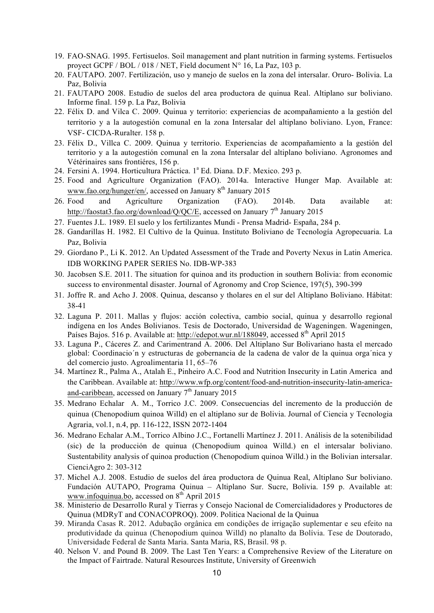- 19. FAO-SNAG. 1995. Fertisuelos. Soil management and plant nutrition in farming systems. Fertisuelos proyect GCPF / BOL / 018 / NET, Field document N° 16, La Paz, 103 p.
- 20. FAUTAPO. 2007. Fertilización, uso y manejo de suelos en la zona del intersalar. Oruro- Bolivia. La Paz, Bolivia
- 21. FAUTAPO 2008. Estudio de suelos del area productora de quinua Real. Altiplano sur boliviano. Informe final. 159 p. La Paz, Bolivia
- 22. Félix D. and Vilca C. 2009. Quinua y territorio: experiencias de acompañamiento a la gestión del territorio y a la autogestión comunal en la zona Intersalar del altiplano boliviano. Lyon, France: VSF- CICDA-Ruralter. 158 p.
- 23. Félix D., Villca C. 2009. Quinua y territorio. Experiencias de acompañamiento a la gestión del territorio y a la autogestión comunal en la zona Intersalar del altiplano boliviano. Agronomes and Vétérinaires sans frontiéres, 156 p.
- 24. Fersini A. 1994. Horticultura Práctica. 1<sup>ª</sup> Ed. Diana. D.F. Mexico. 293 p.
- 25. Food and Agriculture Organization (FAO). 2014a. Interactive Hunger Map. Available at: www.fao.org/hunger/en/, accessed on January  $8<sup>th</sup>$  January 2015
- 26. Food and Agriculture Organization (FAO). 2014b. Data available at: http://faostat3.fao.org/download/Q/QC/E, accessed on January  $7<sup>th</sup>$  January 2015
- 27. Fuentes J.L. 1989. El suelo y los fertilizantes Mundi Prensa Madrid- España, 284 p.
- 28. Gandarillas H. 1982. El Cultivo de la Quinua. Instituto Boliviano de Tecnología Agropecuaria. La Paz, Bolivia
- 29. Giordano P., Li K. 2012. An Updated Assessment of the Trade and Poverty Nexus in Latin America. IDB WORKING PAPER SERIES No. IDB-WP-383
- 30. Jacobsen S.E. 2011. The situation for quinoa and its production in southern Bolivia: from economic success to environmental disaster. Journal of Agronomy and Crop Science, 197(5), 390-399
- 31. Joffre R. and Acho J. 2008. Quinua, descanso y tholares en el sur del Altiplano Boliviano. Hábitat: 38-41
- 32. Laguna P. 2011. Mallas y flujos: acción colectiva, cambio social, quinua y desarrollo regional indígena en los Andes Bolivianos. Tesis de Doctorado, Universidad de Wageningen. Wageningen, Países Bajos. 516 p. Available at: http://edepot.wur.nl/188049. accessed 8<sup>th</sup> April 2015
- 33. Laguna P., Cáceres Z. and Carimentrand A. 2006. Del Altiplano Sur Bolivariano hasta el mercado global: Coordinacio´n y estructuras de gobernancia de la cadena de valor de la quinua orga´nica y del comercio justo. Agroalimentaria 11, 65–76
- 34. Martínez R., Palma A., Atalah E., Pinheiro A.C. Food and Nutrition Insecurity in Latin America and the Caribbean. Available at: http://www.wfp.org/content/food-and-nutrition-insecurity-latin-americaand-caribbean, accessed on January  $7<sup>th</sup>$  January 2015
- 35. Medrano Echalar A. M., Torrico J.C. 2009. Consecuencias del incremento de la producción de quinua (Chenopodium quinoa Willd) en el altiplano sur de Bolivia. Journal of Ciencia y Tecnologia Agraria, vol.1, n.4, pp. 116-122, ISSN 2072-1404
- 36. Medrano Echalar A.M., Torrico Albino J.C., Fortanelli Martínez J. 2011. Análisis de la sotenibilidad (sic) de la producción de quinua (Chenopodium quinoa Willd.) en el intersalar boliviano. Sustentability analysis of quinoa production (Chenopodium quinoa Willd.) in the Bolivian intersalar. CienciAgro 2: 303-312
- 37. Michel A.J. 2008. Estudio de suelos del área productora de Quinua Real, Altiplano Sur boliviano. Fundación AUTAPO, Programa Quinua – Altiplano Sur. Sucre, Bolivia. 159 p. Available at: www.infoquinua.bo, accessed on 8<sup>th</sup> April 2015
- 38. Ministerio de Desarrollo Rural y Tierras y Consejo Nacional de Comercialidadores y Productores de Quinua (MDRyT and CONACOPROQ). 2009. Politica Nacional de la Quinua
- 39. Miranda Casas R. 2012. Adubação orgânica em condições de irrigação suplementar e seu efeito na produtividade da quinua (Chenopodium quinoa Willd) no planalto da Bolívia. Tese de Doutorado, Universidade Federal de Santa Maria. Santa Maria, RS, Brasil. 98 p.
- 40. Nelson V. and Pound B. 2009. The Last Ten Years: a Comprehensive Review of the Literature on the Impact of Fairtrade. Natural Resources Institute, University of Greenwich